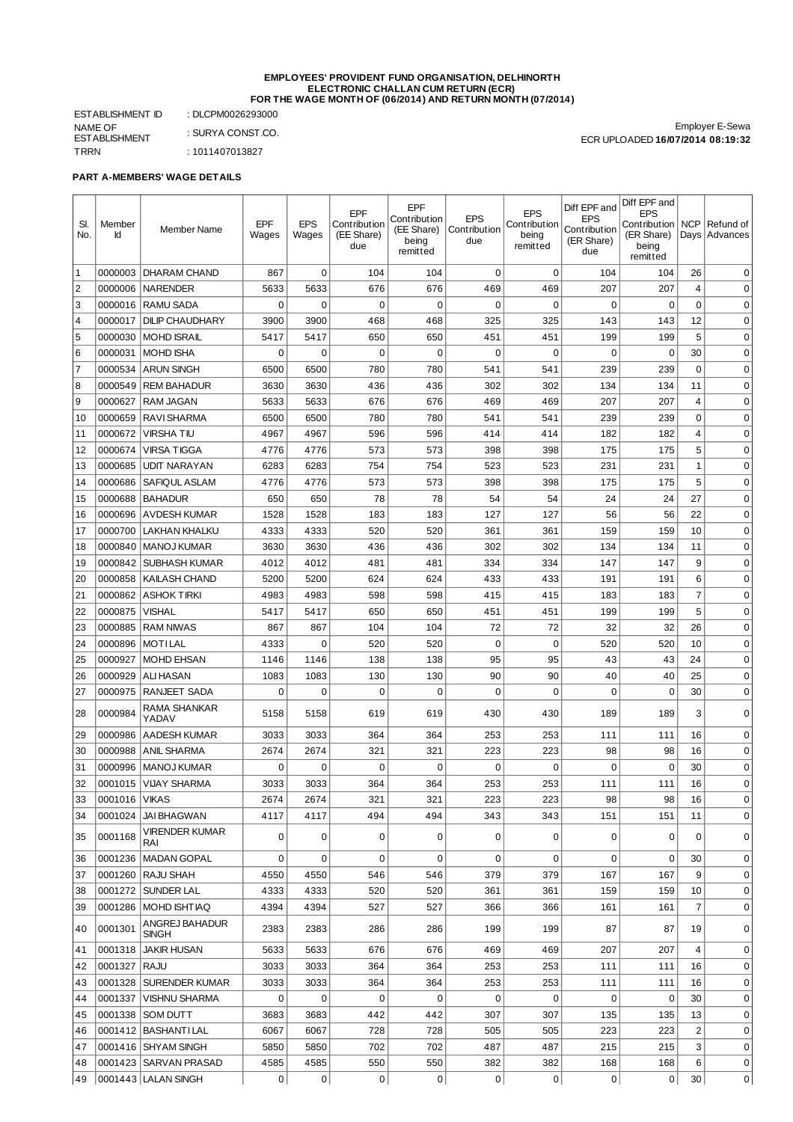#### **EMPLOYEES' PROVIDENT FUND ORGANISATION, DELHINORTH ELECTRONIC CHALLAN CUM RETURN (ECR) FOR THE WAGE MONTH OF (06/2014) AND RETURN MONTH (07/2014)**

ESTABLISHMENT ID : DLCPM0026293000 NAME OF ESTABLISHMENT : SURYA CONST.CO. TRRN : 1011407013827

Employer E-Sewa ECR UPLOADED **16/07/2014 08:19:32**

## **PART A-MEMBERS' WAGE DETAILS**

| SI.<br>No.           | Member<br>Id       | <b>Member Name</b>                  | EPF<br>Wages | <b>EPS</b><br>Wages | EPF<br>Contribution<br>(EE Share)<br>due | EPF<br>Contribution<br>(EE Share)<br>being<br>remitted | <b>EPS</b><br>Contribution<br>due | <b>EPS</b><br>Contribution<br>being<br>remitted | Diff EPF and<br><b>EPS</b><br>Contribution<br>(ER Share)<br>due | Diff EPF and<br><b>EPS</b><br>Contribution<br>(ER Share)<br>being<br>remitted | <b>NCP</b>     | Refund of<br>Days Advances |
|----------------------|--------------------|-------------------------------------|--------------|---------------------|------------------------------------------|--------------------------------------------------------|-----------------------------------|-------------------------------------------------|-----------------------------------------------------------------|-------------------------------------------------------------------------------|----------------|----------------------------|
| $\vert$ 1            | 0000003            | DHARAM CHAND                        | 867          | $\mathbf 0$         | 104                                      | 104                                                    | $\mathbf 0$                       | $\mathbf 0$                                     | 104                                                             | 104                                                                           | 26             | 0                          |
| $\overline{2}$       | 0000006            | <b>NARENDER</b>                     | 5633         | 5633                | 676                                      | 676                                                    | 469                               | 469                                             | 207                                                             | 207                                                                           | 4              | $\mathbf 0$                |
| $\overline{\vert}$ 3 | 0000016            | <b>RAMU SADA</b>                    | 0            | $\mathbf 0$         | $\mathbf 0$                              | $\mathbf 0$                                            | 0                                 | 0                                               | $\mathbf 0$                                                     | 0                                                                             | $\mathbf 0$    | $\mathbf 0$                |
| 4                    | 0000017            | <b>DILIP CHAUDHARY</b>              | 3900         | 3900                | 468                                      | 468                                                    | 325                               | 325                                             | 143                                                             | 143                                                                           | 12             | $\mathbf 0$                |
| 5                    | 0000030            | <b>MOHD ISRAIL</b>                  | 5417         | 5417                | 650                                      | 650                                                    | 451                               | 451                                             | 199                                                             | 199                                                                           | 5              | $\mathbf 0$                |
| 6                    | 0000031            | <b>MOHD ISHA</b>                    | 0            | 0                   | 0                                        | 0                                                      | 0                                 | 0                                               | 0                                                               | 0                                                                             | 30             | 0                          |
| $\sqrt{7}$           | 0000534            | <b>ARUN SINGH</b>                   | 6500         | 6500                | 780                                      | 780                                                    | 541                               | 541                                             | 239                                                             | 239                                                                           | 0              | 0                          |
| 8                    | 0000549            | <b>REM BAHADUR</b>                  | 3630         | 3630                | 436                                      | 436                                                    | 302                               | 302                                             | 134                                                             | 134                                                                           | 11             | $\mathbf 0$                |
| 9                    | 0000627            | <b>RAM JAGAN</b>                    | 5633         | 5633                | 676                                      | 676                                                    | 469                               | 469                                             | 207                                                             | 207                                                                           | $\overline{4}$ | $\mathbf 0$                |
| $\overline{10}$      | 0000659            | <b>RAVI SHARMA</b>                  | 6500         | 6500                | 780                                      | 780                                                    | 541                               | 541                                             | 239                                                             | 239                                                                           | $\mathbf 0$    | $\mathbf 0$                |
| 11                   | 0000672            | <b>VIRSHATIU</b>                    | 4967         | 4967                | 596                                      | 596                                                    | 414                               | 414                                             | 182                                                             | 182                                                                           | $\overline{4}$ | $\mathbf 0$                |
| 12                   | 0000674            | <b>VIRSA TIGGA</b>                  | 4776         | 4776                | 573                                      | 573                                                    | 398                               | 398                                             | 175                                                             | 175                                                                           | 5              | $\mathbf 0$                |
| 13                   | 0000685            | <b>UDIT NARAYAN</b>                 | 6283         | 6283                | 754                                      | 754                                                    | 523                               | 523                                             | 231                                                             | 231                                                                           | $\mathbf{1}$   | $\mathbf 0$                |
| 14                   | 0000686            | SAFIQUL ASLAM                       | 4776         | 4776                | 573                                      | 573                                                    | 398                               | 398                                             | 175                                                             | 175                                                                           | 5              | $\mathbf 0$                |
| 15                   | 0000688            | <b>BAHADUR</b>                      | 650          | 650                 | 78                                       | 78                                                     | 54                                | 54                                              | 24                                                              | 24                                                                            | 27             | $\mathbf 0$                |
| 16                   | 0000696            | <b>AVDESH KUMAR</b>                 | 1528         | 1528                | 183                                      | 183                                                    | 127                               | 127                                             | 56                                                              | 56                                                                            | 22             | $\mathbf 0$                |
| 17                   | 0000700            | LAKHAN KHALKU                       | 4333         | 4333                | 520                                      | 520                                                    | 361                               | 361                                             | 159                                                             | 159                                                                           | 10             | $\mathbf 0$                |
| 18                   | 0000840            | <b>MANOJ KUMAR</b>                  | 3630         | 3630                | 436                                      | 436                                                    | 302                               | 302                                             | 134                                                             | 134                                                                           | 11             | $\mathbf 0$                |
| 19<br> 20            | 0000842<br>0000858 | <b>SUBHASH KUMAR</b>                | 4012<br>5200 | 4012<br>5200        | 481<br>624                               | 481<br>624                                             | 334<br>433                        | 334                                             | 147<br>191                                                      | 147<br>191                                                                    | 9<br>6         | $\mathbf 0$<br>$\mathbf 0$ |
| 21                   |                    | KAILASH CHAND<br><b>ASHOK TIRKI</b> | 4983         | 4983                | 598                                      | 598                                                    | 415                               | 433<br>415                                      | 183                                                             | 183                                                                           | $\overline{7}$ | $\mathbf 0$                |
| 22                   | 0000862<br>0000875 | <b>VISHAL</b>                       | 5417         | 5417                | 650                                      | 650                                                    | 451                               | 451                                             | 199                                                             | 199                                                                           | 5              | $\mathbf 0$                |
| 23                   | 0000885            | <b>RAM NIWAS</b>                    | 867          | 867                 | 104                                      | 104                                                    | 72                                | 72                                              | 32                                                              | 32                                                                            | 26             | 0                          |
| 24                   | 0000896            | <b>MOTILAL</b>                      | 4333         | 0                   | 520                                      | 520                                                    | $\mathbf 0$                       | $\mathbf 0$                                     | 520                                                             | 520                                                                           | 10             | 0                          |
| 25                   | 0000927            | <b>MOHD EHSAN</b>                   | 1146         | 1146                | 138                                      | 138                                                    | 95                                | 95                                              | 43                                                              | 43                                                                            | 24             | $\mathbf 0$                |
| 26                   | 0000929            | <b>ALIHASAN</b>                     | 1083         | 1083                | 130                                      | 130                                                    | 90                                | 90                                              | 40                                                              | 40                                                                            | 25             | $\mathbf 0$                |
| 27                   | 0000975            | RANJEET SADA                        | 0            | 0                   | $\mathbf 0$                              | $\mathbf 0$                                            | 0                                 | 0                                               | 0                                                               | 0                                                                             | 30             | $\mathbf 0$                |
| 28                   | 0000984            | RAMA SHANKAR<br>YADAV               | 5158         | 5158                | 619                                      | 619                                                    | 430                               | 430                                             | 189                                                             | 189                                                                           | 3              | $\mathbf 0$                |
| 29                   | 0000986            | <b>AADESH KUMAR</b>                 | 3033         | 3033                | 364                                      | 364                                                    | 253                               | 253                                             | 111                                                             | 111                                                                           | 16             | $\mathbf 0$                |
| 30                   | 0000988            | <b>ANIL SHARMA</b>                  | 2674         | 2674                | 321                                      | 321                                                    | 223                               | 223                                             | 98                                                              | 98                                                                            | 16             | 0                          |
| 31                   | 0000996            | <b>MANOJ KUMAR</b>                  | 0            | 0                   | $\mathbf 0$                              | 0                                                      | 0                                 | 0                                               | 0                                                               | 0                                                                             | 30             | $\mathbf 0$                |
| 32                   | 0001015            | <b>VIJAY SHARMA</b>                 | 3033         | 3033                | 364                                      | 364                                                    | 253                               | 253                                             | 111                                                             | 111                                                                           | 16             | $\mathbf 0$                |
| 33                   | 0001016 VIKAS      |                                     | 2674         | 2674                | 321                                      | 321                                                    | 223                               | 223                                             | 98                                                              | 98                                                                            | 16             | 0                          |
| 34                   |                    | 0001024 JAI BHAGWAN                 | 4117         | 4117                | 494                                      | 494                                                    | 343                               | 343                                             | 151                                                             | 151                                                                           | 11             | $\mathbf 0$                |
| 35                   | 0001168            | <b>VIRENDER KUMAR</b><br>RAI        | 0            | 0                   | 0                                        | 0                                                      | 0                                 | 0                                               | 0                                                               | 0                                                                             | 0              | 0                          |
| 36                   | 0001236            | <b>MADAN GOPAL</b>                  | 0            | 0                   | 0                                        | 0                                                      | 0                                 | 0                                               | $\boldsymbol{0}$                                                | 0                                                                             | 30             | 0                          |
| 37                   | 0001260            | RAJU SHAH                           | 4550         | 4550                | 546                                      | 546                                                    | 379                               | 379                                             | 167                                                             | 167                                                                           | 9              | 0                          |
| 38                   | 0001272            | SUNDER LAL                          | 4333         | 4333                | 520                                      | 520                                                    | 361                               | 361                                             | 159                                                             | 159                                                                           | 10             | 0                          |
| 39                   | 0001286            | MOHD ISHT IAQ                       | 4394         | 4394                | 527                                      | 527                                                    | 366                               | 366                                             | 161                                                             | 161                                                                           | $\overline{7}$ | $\mathbf 0$                |
| 40                   | 0001301            | ANGREJ BAHADUR<br><b>SINGH</b>      | 2383         | 2383                | 286                                      | 286                                                    | 199                               | 199                                             | 87                                                              | 87                                                                            | 19             | $\mathbf 0$                |
| 41                   | 0001318            | <b>JAKIR HUSAN</b>                  | 5633         | 5633                | 676                                      | 676                                                    | 469                               | 469                                             | 207                                                             | 207                                                                           | $\overline{4}$ | $\mathbf 0$                |
| 42                   | 0001327            | <b>RAJU</b>                         | 3033         | 3033                | 364                                      | 364                                                    | 253                               | 253                                             | 111                                                             | 111                                                                           | 16             | $\mathbf 0$                |
| 43                   | 0001328            | <b>SURENDER KUMAR</b>               | 3033         | 3033                | 364                                      | 364                                                    | 253                               | 253                                             | 111                                                             | 111                                                                           | 16             | $\mathbf 0$                |
| 44                   | 0001337            | <b>VISHNU SHARMA</b>                | 0            | 0                   | 0                                        | 0                                                      | 0                                 | 0                                               | 0                                                               | 0                                                                             | 30             | $\mathbf 0$                |
| 45                   | 0001338            | <b>SOM DUTT</b>                     | 3683         | 3683                | 442                                      | 442                                                    | 307                               | 307                                             | 135                                                             | 135                                                                           | 13             | $\mathbf 0$                |
| 46                   |                    | 0001412   BASHANTI LAL              | 6067         | 6067                | 728                                      | 728                                                    | 505                               | 505                                             | 223                                                             | 223                                                                           | 2              | 0                          |
| 47                   |                    | 0001416 SHYAM SINGH                 | 5850         | 5850                | 702                                      | 702                                                    | 487                               | 487                                             | 215                                                             | 215                                                                           | 3              | 0                          |
| 48                   |                    | 0001423   SARVAN PRASAD             | 4585         | 4585                | 550                                      | 550                                                    | 382                               | 382                                             | 168                                                             | 168                                                                           | 6              | $\mathbf 0$                |
| 49                   |                    | 0001443   LALAN SINGH               | 0            | 0                   | 0                                        | 0                                                      | 0                                 | $\mathbf{0}$                                    | 0                                                               | 0                                                                             | 30             | 0                          |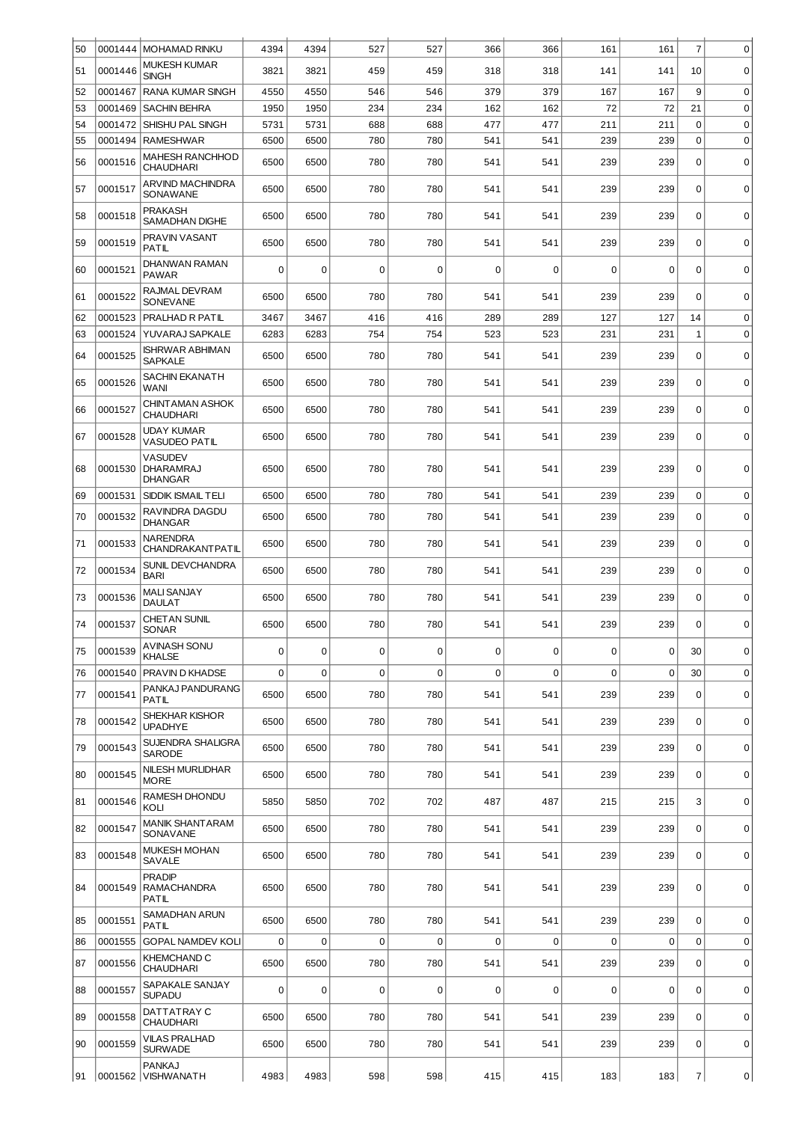| 50 | 0001444 | <b>MOHAMAD RINKU</b>                                 | 4394        | 4394           | 527         | 527         | 366         | 366              | 161         | 161         | $\overline{7}$   | 0           |
|----|---------|------------------------------------------------------|-------------|----------------|-------------|-------------|-------------|------------------|-------------|-------------|------------------|-------------|
| 51 | 0001446 | <b>MUKESH KUMAR</b><br><b>SINGH</b>                  | 3821        | 3821           | 459         | 459         | 318         | 318              | 141         | 141         | 10               | $\mathbf 0$ |
| 52 | 0001467 | <b>RANA KUMAR SINGH</b>                              | 4550        | 4550           | 546         | 546         | 379         | 379              | 167         | 167         | 9                | $\mathbf 0$ |
| 53 | 0001469 | <b>SACHIN BEHRA</b>                                  | 1950        | 1950           | 234         | 234         | 162         | 162              | 72          | 72          | 21               | $\mathbf 0$ |
| 54 | 0001472 | SHISHU PAL SINGH                                     | 5731        | 5731           | 688         | 688         | 477         | 477              | 211         | 211         | 0                | $\mathbf 0$ |
| 55 | 0001494 | <b>RAMESHWAR</b>                                     | 6500        | 6500           | 780         | 780         | 541         | 541              | 239         | 239         | 0                | $\mathbf 0$ |
| 56 | 0001516 | <b>MAHESH RANCHHOD</b><br><b>CHAUDHARI</b>           | 6500        | 6500           | 780         | 780         | 541         | 541              | 239         | 239         | $\mathbf 0$      | $\mathbf 0$ |
| 57 | 0001517 | ARVIND MACHINDRA<br>SONAWANE                         | 6500        | 6500           | 780         | 780         | 541         | 541              | 239         | 239         | 0                | $\mathbf 0$ |
| 58 | 0001518 | <b>PRAKASH</b><br>SAMADHAN DIGHE                     | 6500        | 6500           | 780         | 780         | 541         | 541              | 239         | 239         | $\mathbf 0$      | $\mathbf 0$ |
| 59 | 0001519 | PRAVIN VASANT<br><b>PATIL</b>                        | 6500        | 6500           | 780         | 780         | 541         | 541              | 239         | 239         | $\mathbf 0$      | $\mathbf 0$ |
| 60 | 0001521 | DHANWAN RAMAN<br><b>PAWAR</b>                        | $\mathbf 0$ | $\mathbf 0$    | $\mathbf 0$ | $\mathbf 0$ | 0           | $\mathbf 0$      | 0           | 0           | 0                | $\mathbf 0$ |
| 61 | 0001522 | RAJMAL DEVRAM<br><b>SONEVANE</b>                     | 6500        | 6500           | 780         | 780         | 541         | 541              | 239         | 239         | 0                | $\mathbf 0$ |
| 62 | 0001523 | PRALHAD R PATIL                                      | 3467        | 3467           | 416         | 416         | 289         | 289              | 127         | 127         | 14               | $\mathbf 0$ |
| 63 | 0001524 | YUVARAJ SAPKALE                                      | 6283        | 6283           | 754         | 754         | 523         | 523              | 231         | 231         | 1                | $\mathbf 0$ |
| 64 | 0001525 | <b>ISHRWAR ABHIMAN</b><br><b>SAPKALE</b>             | 6500        | 6500           | 780         | 780         | 541         | 541              | 239         | 239         | 0                | 0           |
| 65 | 0001526 | SACHIN EKANATH<br>WANI                               | 6500        | 6500           | 780         | 780         | 541         | 541              | 239         | 239         | 0                | $\mathbf 0$ |
| 66 | 0001527 | <b>CHINTAMAN ASHOK</b><br><b>CHAUDHARI</b>           | 6500        | 6500           | 780         | 780         | 541         | 541              | 239         | 239         | 0                | 0           |
| 67 | 0001528 | UDAY KUMAR<br><b>VASUDEO PATIL</b>                   | 6500        | 6500           | 780         | 780         | 541         | 541              | 239         | 239         | $\mathbf 0$      | $\mathbf 0$ |
| 68 | 0001530 | <b>VASUDEV</b><br><b>DHARAMRAJ</b><br><b>DHANGAR</b> | 6500        | 6500           | 780         | 780         | 541         | 541              | 239         | 239         | 0                | $\mathbf 0$ |
| 69 | 0001531 | SIDDIK ISMAIL TELI                                   | 6500        | 6500           | 780         | 780         | 541         | 541              | 239         | 239         | $\boldsymbol{0}$ | $\mathbf 0$ |
| 70 | 0001532 | RAVINDRA DAGDU<br><b>DHANGAR</b>                     | 6500        | 6500           | 780         | 780         | 541         | 541              | 239         | 239         | $\mathbf 0$      | $\mathbf 0$ |
| 71 | 0001533 | <b>NARENDRA</b><br><b>CHANDRAKANTPATIL</b>           | 6500        | 6500           | 780         | 780         | 541         | 541              | 239         | 239         | 0                | $\mathbf 0$ |
| 72 | 0001534 | <b>SUNIL DEVCHANDRA</b><br><b>BARI</b>               | 6500        | 6500           | 780         | 780         | 541         | 541              | 239         | 239         | $\mathbf 0$      | $\mathbf 0$ |
| 73 | 0001536 | <b>MALI SANJAY</b><br><b>DAULAT</b>                  | 6500        | 6500           | 780         | 780         | 541         | 541              | 239         | 239         | 0                | $\mathbf 0$ |
| 74 | 0001537 | <b>CHETAN SUNIL</b><br>SONAR                         | 6500        | 6500           | 780         | 780         | 541         | 541              | 239         | 239         | $\Omega$         | $\Omega$    |
| 75 | 0001539 | AVINASH SONU<br><b>KHALSE</b>                        | $\mathbf 0$ | $\mathbf 0$    | 0           | 0           | 0           | $\boldsymbol{0}$ | 0           | 0           | 30               | $\mathbf 0$ |
| 76 | 0001540 | PRAVIN D KHADSE                                      | $\mathbf 0$ | $\overline{0}$ | 0           | $\mathbf 0$ | $\mathbf 0$ | $\mathbf 0$      | 0           | $\mathbf 0$ | 30               | 0           |
| 77 | 0001541 | PANKAJ PANDURANG<br>PATIL                            | 6500        | 6500           | 780         | 780         | 541         | 541              | 239         | 239         | 0                | $\mathbf 0$ |
| 78 | 0001542 | SHEKHAR KISHOR<br><b>UPADHYE</b>                     | 6500        | 6500           | 780         | 780         | 541         | 541              | 239         | 239         | 0                | 0           |
| 79 | 0001543 | <b>SUJENDRA SHALIGRA</b><br><b>SARODE</b>            | 6500        | 6500           | 780         | 780         | 541         | 541              | 239         | 239         | $\mathbf 0$      | $\mathbf 0$ |
| 80 | 0001545 | <b>NILESH MURLIDHAR</b><br><b>MORE</b>               | 6500        | 6500           | 780         | 780         | 541         | 541              | 239         | 239         | 0                | $\mathbf 0$ |
| 81 | 0001546 | RAMESH DHONDU<br>KOLI                                | 5850        | 5850           | 702         | 702         | 487         | 487              | 215         | 215         | 3                | $\mathbf 0$ |
| 82 | 0001547 | <b>MANIK SHANT ARAM</b><br>SONAVANE                  | 6500        | 6500           | 780         | 780         | 541         | 541              | 239         | 239         | 0                | 0           |
| 83 | 0001548 | <b>MUKESH MOHAN</b><br>SAVALE                        | 6500        | 6500           | 780         | 780         | 541         | 541              | 239         | 239         | $\mathbf 0$      | $\mathbf 0$ |
| 84 | 0001549 | <b>PRADIP</b><br><b>RAMACHANDRA</b><br>PATIL         | 6500        | 6500           | 780         | 780         | 541         | 541              | 239         | 239         | 0                | $\mathbf 0$ |
| 85 | 0001551 | SAMADHAN ARUN<br><b>PATIL</b>                        | 6500        | 6500           | 780         | 780         | 541         | 541              | 239         | 239         | $\Omega$         | $\mathbf 0$ |
| 86 | 0001555 | <b>GOPAL NAMDEV KOLI</b>                             | $\mathbf 0$ | $\mathbf 0$    | $\mathbf 0$ | $\mathbf 0$ | $\mathbf 0$ | $\mathbf 0$      | $\mathbf 0$ | $\mathbf 0$ | $\mathbf 0$      | $\mathbf 0$ |
| 87 | 0001556 | KHEMCHAND C<br><b>CHAUDHARI</b>                      | 6500        | 6500           | 780         | 780         | 541         | 541              | 239         | 239         | $\mathbf 0$      | $\mathbf 0$ |
| 88 | 0001557 | SAPAKALE SANJAY<br><b>SUPADU</b>                     | $\Omega$    | $\mathbf 0$    | $\mathbf 0$ | 0           | $\mathbf 0$ | $\mathbf 0$      | 0           | 0           | $\mathbf 0$      | $\mathbf 0$ |
| 89 | 0001558 | DATTATRAY C<br><b>CHAUDHARI</b>                      | 6500        | 6500           | 780         | 780         | 541         | 541              | 239         | 239         | $\mathbf 0$      | 0           |
| 90 | 0001559 | <b>VILAS PRALHAD</b><br><b>SURWADE</b>               | 6500        | 6500           | 780         | 780         | 541         | 541              | 239         | 239         | 0                | $\mathbf 0$ |
| 91 |         | <b>PANKAJ</b><br> 0001562  VISHWANATH                | 4983        | 4983           | 598         | 598         | 415         | 415              | 183         | 183         | $\overline{7}$   | 0           |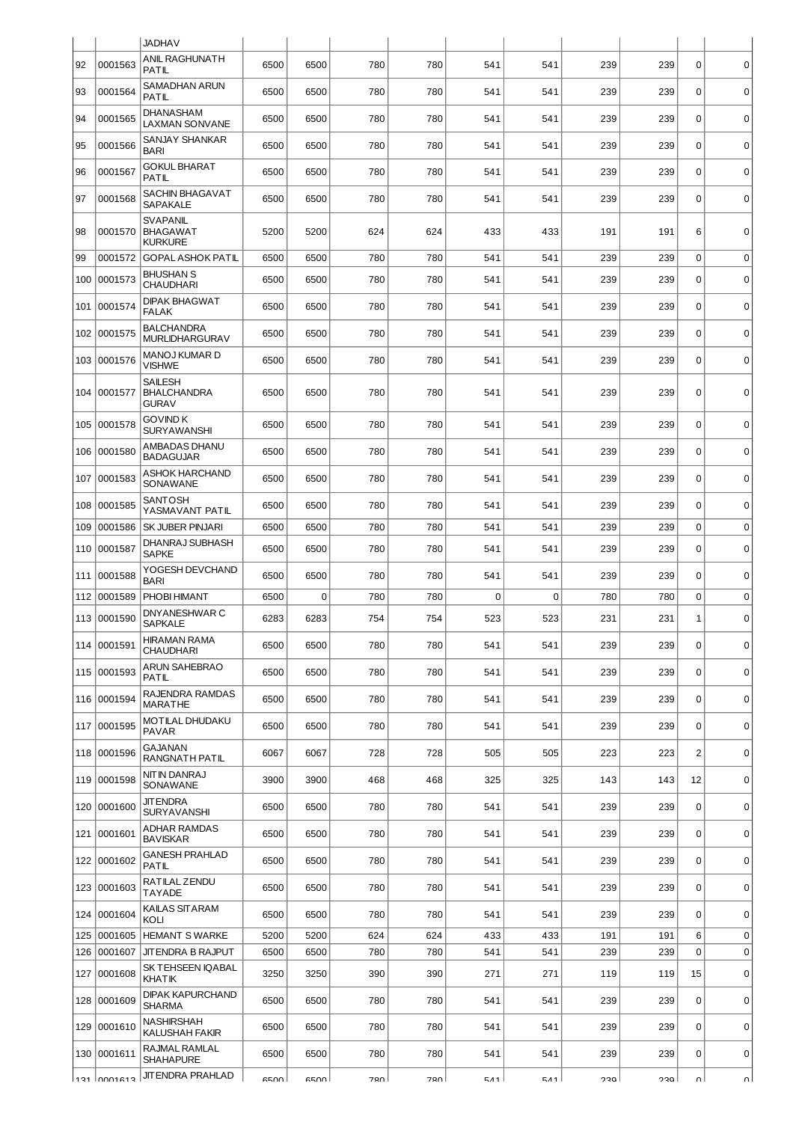|     |                | <b>JADHAV</b>                                        |      |      |     |       |                  |             |     |     |                  |             |
|-----|----------------|------------------------------------------------------|------|------|-----|-------|------------------|-------------|-----|-----|------------------|-------------|
| 92  | 0001563        | ANIL RAGHUNATH<br>PATIL                              | 6500 | 6500 | 780 | 780   | 541              | 541         | 239 | 239 | $\mathbf 0$      | $\mathbf 0$ |
| 93  | 0001564        | SAMADHAN ARUN<br>PATIL                               | 6500 | 6500 | 780 | 780   | 541              | 541         | 239 | 239 | $\mathbf 0$      | $\mathbf 0$ |
| 94  | 0001565        | DHANASHAM<br><b>LAXMAN SONVANE</b>                   | 6500 | 6500 | 780 | 780   | 541              | 541         | 239 | 239 | $\Omega$         | $\mathbf 0$ |
| 95  | 0001566        | SANJAY SHANKAR<br><b>BARI</b>                        | 6500 | 6500 | 780 | 780   | 541              | 541         | 239 | 239 | $\mathbf 0$      | $\mathbf 0$ |
| 96  | 0001567        | <b>GOKUL BHARAT</b><br>PATIL                         | 6500 | 6500 | 780 | 780   | 541              | 541         | 239 | 239 | $\mathbf 0$      | $\mathbf 0$ |
| 97  | 0001568        | SACHIN BHAGAVAT<br><b>SAPAKALE</b>                   | 6500 | 6500 | 780 | 780   | 541              | 541         | 239 | 239 | $\mathbf 0$      | $\mathbf 0$ |
| 98  | 0001570        | SVAPANIL<br><b>BHAGAWAT</b><br><b>KURKURE</b>        | 5200 | 5200 | 624 | 624   | 433              | 433         | 191 | 191 | 6                | $\mathbf 0$ |
| 99  | 0001572        | <b>GOPAL ASHOK PATIL</b>                             | 6500 | 6500 | 780 | 780   | 541              | 541         | 239 | 239 | $\Omega$         | $\mathbf 0$ |
| 100 | 0001573        | <b>BHUSHAN S</b><br>CHAUDHARI                        | 6500 | 6500 | 780 | 780   | 541              | 541         | 239 | 239 | $\mathbf 0$      | $\mathbf 0$ |
| 101 | 0001574        | DIPAK BHAGWAT<br><b>FALAK</b>                        | 6500 | 6500 | 780 | 780   | 541              | 541         | 239 | 239 | $\Omega$         | $\pmb{0}$   |
| 102 | 0001575        | <b>BALCHANDRA</b><br><b>MURLIDHARGURAV</b>           | 6500 | 6500 | 780 | 780   | 541              | 541         | 239 | 239 | $\mathbf 0$      | $\mathbf 0$ |
|     | 103 0001576    | MANOJ KUMAR D<br><b>VISHWE</b>                       | 6500 | 6500 | 780 | 780   | 541              | 541         | 239 | 239 | $\mathbf 0$      | $\mathbf 0$ |
|     | 104 0001577    | <b>SAILESH</b><br><b>BHALCHANDRA</b><br><b>GURAV</b> | 6500 | 6500 | 780 | 780   | 541              | 541         | 239 | 239 | $\mathbf 0$      | 0           |
| 105 | 0001578        | GOVIND K<br>SURYAWANSHI                              | 6500 | 6500 | 780 | 780   | 541              | 541         | 239 | 239 | $\mathbf 0$      | 0           |
| 106 | 0001580        | AMBADAS DHANU<br><b>BADAGUJAR</b>                    | 6500 | 6500 | 780 | 780   | 541              | 541         | 239 | 239 | $\Omega$         | $\mathbf 0$ |
| 107 | 0001583        | ASHOK HARCHAND<br>SONAWANE                           | 6500 | 6500 | 780 | 780   | 541              | 541         | 239 | 239 | $\Omega$         | 0           |
| 108 | 0001585        | SANTOSH<br>YASMAVANT PATIL                           | 6500 | 6500 | 780 | 780   | 541              | 541         | 239 | 239 | $\mathbf 0$      | $\mathbf 0$ |
| 109 | 0001586        | SK JUBER PINJARI                                     | 6500 | 6500 | 780 | 780   | 541              | 541         | 239 | 239 | $\mathbf 0$      | $\mathbf 0$ |
| 110 | 0001587        | DHANRAJ SUBHASH<br><b>SAPKE</b>                      | 6500 | 6500 | 780 | 780   | 541              | 541         | 239 | 239 | $\Omega$         | $\mathbf 0$ |
| 111 | 0001588        | YOGESH DEVCHAND<br><b>BARI</b>                       | 6500 | 6500 | 780 | 780   | 541              | 541         | 239 | 239 | $\mathbf 0$      | $\mathbf 0$ |
| 112 | 0001589        | PHOBI HIMANT                                         | 6500 | 0    | 780 | 780   | 0                | $\mathbf 0$ | 780 | 780 | 0                | $\mathbf 0$ |
|     | 113 0001590    | DNYANESHWAR C<br>SAPKALE                             | 6283 | 6283 | 754 | 754   | 523              | 523         | 231 | 231 | 1                | $\mathbf 0$ |
|     | 114 0001591    | <b>HIRAMAN RAMA</b><br><b>CHAUDHARI</b>              | 6500 | 6500 | 780 | 780   | 541              | 541         | 239 | 239 | 0                | $\mathbf 0$ |
|     | 115 0001593    | ARUN SAHEBRAO<br>PATIL                               | 6500 | 6500 | 780 | 780   | 541              | 541         | 239 | 239 | $\mathbf 0$      | $\mathbf 0$ |
|     | 116 0001594    | RAJENDRA RAMDAS<br><b>MARATHE</b>                    | 6500 | 6500 | 780 | 780   | 541              | 541         | 239 | 239 | $\mathbf 0$      | $\mathsf 0$ |
|     | 117 0001595    | MOTILAL DHUDAKU<br><b>PAVAR</b>                      | 6500 | 6500 | 780 | 780   | 541              | 541         | 239 | 239 | $\mathbf 0$      | $\mathbf 0$ |
|     | 118 0001596    | GAJANAN<br>RANGNATH PATIL                            | 6067 | 6067 | 728 | 728   | 505              | 505         | 223 | 223 | $\overline{2}$   | $\mathbf 0$ |
|     | 119 0001598    | NIT IN DANRAJ<br>SONAWANE                            | 3900 | 3900 | 468 | 468   | 325              | 325         | 143 | 143 | 12               | $\mathsf 0$ |
|     | 120 0001600    | <b>JIT ENDRA</b><br><b>SURYAVANSHI</b>               | 6500 | 6500 | 780 | 780   | 541              | 541         | 239 | 239 | $\mathbf 0$      | $\mathbf 0$ |
|     | 121 0001601    | ADHAR RAMDAS<br><b>BAVISKAR</b>                      | 6500 | 6500 | 780 | 780   | 541              | 541         | 239 | 239 | $\mathbf 0$      | $\mathbf 0$ |
|     | 122 0001602    | <b>GANESH PRAHLAD</b><br>PATIL                       | 6500 | 6500 | 780 | 780   | 541              | 541         | 239 | 239 | $\mathbf 0$      | $\mathbf 0$ |
|     | 123 0001603    | RATILAL ZENDU<br>TAYADE                              | 6500 | 6500 | 780 | 780   | 541              | 541         | 239 | 239 | $\mathbf 0$      | $\mathbf 0$ |
|     | 124 0001604    | KAILAS SITARAM<br>KOLI                               | 6500 | 6500 | 780 | 780   | 541              | 541         | 239 | 239 | $\mathbf 0$      | $\mathbf 0$ |
| 125 | 0001605        | <b>HEMANT S WARKE</b>                                | 5200 | 5200 | 624 | 624   | 433              | 433         | 191 | 191 | 6                | $\mathbf 0$ |
|     | 126 0001607    | JIT ENDRA B RAJPUT                                   | 6500 | 6500 | 780 | 780   | 541              | 541         | 239 | 239 | $\mathbf 0$      | $\mathbf 0$ |
|     | 127 0001608    | SK TEHSEEN IQABAL<br><b>KHATIK</b>                   | 3250 | 3250 | 390 | 390   | 271              | 271         | 119 | 119 | 15               | $\mathbf 0$ |
| 128 | 0001609        | <b>DIPAK KAPURCHAND</b><br><b>SHARMA</b>             | 6500 | 6500 | 780 | 780   | 541              | 541         | 239 | 239 | $\mathbf 0$      | $\mathbf 0$ |
|     | 129 0001610    | NASHIRSHAH<br>KALUSHAH FAKIR                         | 6500 | 6500 | 780 | 780   | 541              | 541         | 239 | 239 | $\mathbf 0$      | $\mathbf 0$ |
|     | 130 0001611    | RAJMAL RAMLAL<br>SHAHAPURE                           | 6500 | 6500 | 780 | 780   | 541              | 541         | 239 | 239 | $\boldsymbol{0}$ | $\mathbf 0$ |
|     | $121$ $nn1212$ | <b>JITENDRA PRAHLAD</b>                              | CENN | ccon | 700 | zon l | $\Box$ $\land$ 1 | E A 1       | חפר | חממ | ΩI               | n١          |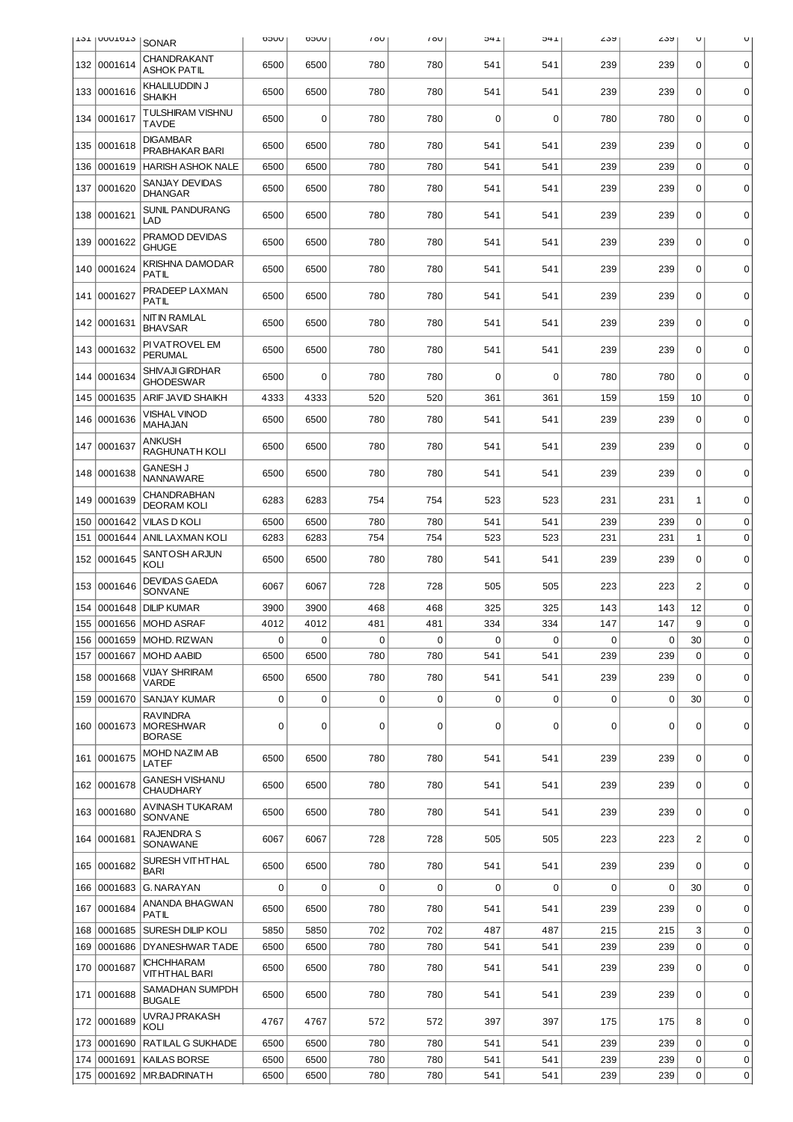|     | T2T INNNTOT3 | <b>SONAR</b>                                         | UUCO        | UUCO | 100         | 100 | 1+C         | 1 +C        | ∠৩৯         | ∠ວນ         | U              | U           |
|-----|--------------|------------------------------------------------------|-------------|------|-------------|-----|-------------|-------------|-------------|-------------|----------------|-------------|
| 132 | 0001614      | CHANDRAKANT<br><b>ASHOK PATIL</b>                    | 6500        | 6500 | 780         | 780 | 541         | 541         | 239         | 239         | 0              | $\mathbf 0$ |
| 133 | 0001616      | KHALILUDDIN J<br><b>SHAIKH</b>                       | 6500        | 6500 | 780         | 780 | 541         | 541         | 239         | 239         | 0              | $\Omega$    |
| 134 | 0001617      | TULSHIRAM VISHNU<br><b>TAVDE</b>                     | 6500        | 0    | 780         | 780 | 0           | $\mathbf 0$ | 780         | 780         | $\mathbf 0$    | $\mathbf 0$ |
| 135 | 0001618      | <b>DIGAMBAR</b><br>PRABHAKAR BARI                    | 6500        | 6500 | 780         | 780 | 541         | 541         | 239         | 239         | $\Omega$       | $\mathbf 0$ |
| 136 | 0001619      | <b>HARISH ASHOK NALE</b>                             | 6500        | 6500 | 780         | 780 | 541         | 541         | 239         | 239         | $\mathbf 0$    | $\mathbf 0$ |
| 137 | 0001620      | SANJAY DEVIDAS<br><b>DHANGAR</b>                     | 6500        | 6500 | 780         | 780 | 541         | 541         | 239         | 239         | 0              | $\mathbf 0$ |
| 138 | 0001621      | <b>SUNIL PANDURANG</b><br>LAD                        | 6500        | 6500 | 780         | 780 | 541         | 541         | 239         | 239         | $\mathbf 0$    | $\mathbf 0$ |
| 139 | 0001622      | PRAMOD DEVIDAS<br><b>GHUGE</b>                       | 6500        | 6500 | 780         | 780 | 541         | 541         | 239         | 239         | 0              | $\mathbf 0$ |
| 140 | 0001624      | <b>KRISHNA DAMODAR</b><br>PATIL                      | 6500        | 6500 | 780         | 780 | 541         | 541         | 239         | 239         | $\mathbf 0$    | $\mathbf 0$ |
| 141 | 0001627      | PRADEEP LAXMAN<br><b>PATIL</b>                       | 6500        | 6500 | 780         | 780 | 541         | 541         | 239         | 239         | $\mathbf 0$    | 0           |
|     | 142 0001631  | <b>NITIN RAMLAL</b><br><b>BHAVSAR</b>                | 6500        | 6500 | 780         | 780 | 541         | 541         | 239         | 239         | $\mathbf 0$    | $\mathbf 0$ |
|     | 143 0001632  | PI VATROVEL EM<br><b>PERUMAL</b>                     | 6500        | 6500 | 780         | 780 | 541         | 541         | 239         | 239         | 0              | $\mathbf 0$ |
| 144 | 0001634      | <b>SHIVAJI GIRDHAR</b><br><b>GHODESWAR</b>           | 6500        | 0    | 780         | 780 | 0           | 0           | 780         | 780         | $\mathbf 0$    | $\mathbf 0$ |
| 145 | 0001635      | ARIF JAVID SHAIKH                                    | 4333        | 4333 | 520         | 520 | 361         | 361         | 159         | 159         | 10             | $\mathbf 0$ |
| 146 | 0001636      | <b>VISHAL VINOD</b><br>MAHAJAN                       | 6500        | 6500 | 780         | 780 | 541         | 541         | 239         | 239         | $\mathbf 0$    | $\mathbf 0$ |
| 147 | 0001637      | <b>ANKUSH</b><br>RAGHUNATH KOLI                      | 6500        | 6500 | 780         | 780 | 541         | 541         | 239         | 239         | $\mathbf 0$    | $\mathbf 0$ |
|     | 148 0001638  | <b>GANESH J</b><br><b>NANNAWARE</b>                  | 6500        | 6500 | 780         | 780 | 541         | 541         | 239         | 239         | 0              | $\mathbf 0$ |
| 149 | 0001639      | <b>CHANDRABHAN</b><br><b>DEORAM KOLI</b>             | 6283        | 6283 | 754         | 754 | 523         | 523         | 231         | 231         | 1              | $\mathbf 0$ |
| 150 | 0001642      | <b>VILAS D KOLI</b>                                  | 6500        | 6500 | 780         | 780 | 541         | 541         | 239         | 239         | $\mathbf 0$    | $\mathbf 0$ |
| 151 | 0001644      | ANIL LAXMAN KOLI                                     | 6283        | 6283 | 754         | 754 | 523         | 523         | 231         | 231         | $\mathbf 1$    | $\mathbf 0$ |
| 152 | 0001645      | SANTOSH ARJUN<br>KOLI                                | 6500        | 6500 | 780         | 780 | 541         | 541         | 239         | 239         | $\mathbf 0$    | $\mathbf 0$ |
| 153 | 0001646      | <b>DEVIDAS GAEDA</b><br>SONVANE                      | 6067        | 6067 | 728         | 728 | 505         | 505         | 223         | 223         | $\overline{2}$ | $\mathbf 0$ |
| 154 | 0001648      | <b>DILIP KUMAR</b>                                   | 3900        | 3900 | 468         | 468 | 325         | 325         | 143         | 143         | 12             | $\mathbf 0$ |
| 155 | 0001656      | <b>MOHD ASRAF</b>                                    | 4012        | 4012 | 481         | 481 | 334         | 334         | 147         | 147         | 9              | $\mathbf 0$ |
| 156 |              | 0001659   MOHD. RIZWAN                               | $\mathbf 0$ | 0    | $\pmb{0}$   | 0   | 0           | $\mathbf 0$ | 0           | $\pmb{0}$   | 30             | 0           |
| 157 | 0001667      | <b>MOHD AABID</b>                                    | 6500        | 6500 | 780         | 780 | 541         | 541         | 239         | 239         | $\Omega$       | $\mathbf 0$ |
| 158 | 0001668      | <b>VIJAY SHRIRAM</b><br>VARDE                        | 6500        | 6500 | 780         | 780 | 541         | 541         | 239         | 239         | 0              | 0           |
| 159 | 0001670      | SANJAY KUMAR                                         | 0           | 0    | 0           | 0   | 0           | $\mathbf 0$ | 0           | 0           | 30             | $\mathbf 0$ |
|     | 160 0001673  | <b>RAVINDRA</b><br><b>MORESHWAR</b><br><b>BORASE</b> | 0           | 0    | $\mathbf 0$ | 0   | $\mathbf 0$ | $\mathbf 0$ | $\mathbf 0$ | $\mathbf 0$ | $\mathbf 0$    | $\mathbf 0$ |
|     | 161 0001675  | MOHD NAZIM AB<br>LATEF                               | 6500        | 6500 | 780         | 780 | 541         | 541         | 239         | 239         | $\mathbf 0$    | $\mathbf 0$ |
|     | 162 0001678  | <b>GANESH VISHANU</b><br><b>CHAUDHARY</b>            | 6500        | 6500 | 780         | 780 | 541         | 541         | 239         | 239         | 0              | 0           |
| 163 | 0001680      | AVINASH TUKARAM<br>SONVANE                           | 6500        | 6500 | 780         | 780 | 541         | 541         | 239         | 239         | 0              | $\mathbf 0$ |
| 164 | 0001681      | <b>RAJENDRA S</b><br>SONAWANE                        | 6067        | 6067 | 728         | 728 | 505         | 505         | 223         | 223         | $\overline{c}$ | $\mathbf 0$ |
|     | 165 0001682  | SURESH VITHTHAL<br><b>BARI</b>                       | 6500        | 6500 | 780         | 780 | 541         | 541         | 239         | 239         | 0              | $\mathbf 0$ |
| 166 | 0001683      | G. NARAYAN                                           | 0           | 0    | $\mathbf 0$ | 0   | $\mathbf 0$ | $\mathbf 0$ | $\mathbf 0$ | 0           | 30             | $\mathbf 0$ |
| 167 | 0001684      | ANANDA BHAGWAN<br><b>PATIL</b>                       | 6500        | 6500 | 780         | 780 | 541         | 541         | 239         | 239         | $\Omega$       | 0           |
| 168 | 0001685      | SURESH DILIP KOLI                                    | 5850        | 5850 | 702         | 702 | 487         | 487         | 215         | 215         | 3              | $\mathbf 0$ |
| 169 | 0001686      | <b>DYANESHWAR TADE</b>                               | 6500        | 6500 | 780         | 780 | 541         | 541         | 239         | 239         | 0              | $\mathbf 0$ |
| 170 | 0001687      | <b>ICHCHHARAM</b><br><b>VITHTHAL BARI</b>            | 6500        | 6500 | 780         | 780 | 541         | 541         | 239         | 239         | $\mathbf 0$    | $\mathbf 0$ |
| 171 | 0001688      | SAMADHAN SUMPDH<br><b>BUGALE</b>                     | 6500        | 6500 | 780         | 780 | 541         | 541         | 239         | 239         | 0              | $\mathbf 0$ |
|     | 172 0001689  | UVRAJ PRAKASH<br>KOLI                                | 4767        | 4767 | 572         | 572 | 397         | 397         | 175         | 175         | 8              | $\mathbf 0$ |
| 173 | 0001690      | RATILAL G SUKHADE                                    | 6500        | 6500 | 780         | 780 | 541         | 541         | 239         | 239         | 0              | $\mathbf 0$ |
| 174 | 0001691      | KAILAS BORSE                                         | 6500        | 6500 | 780         | 780 | 541         | 541         | 239         | 239         | 0              | $\mathbf 0$ |
| 175 | 0001692      | MR.BADRINATH                                         | 6500        | 6500 | 780         | 780 | 541         | 541         | 239         | 239         | 0              | 0           |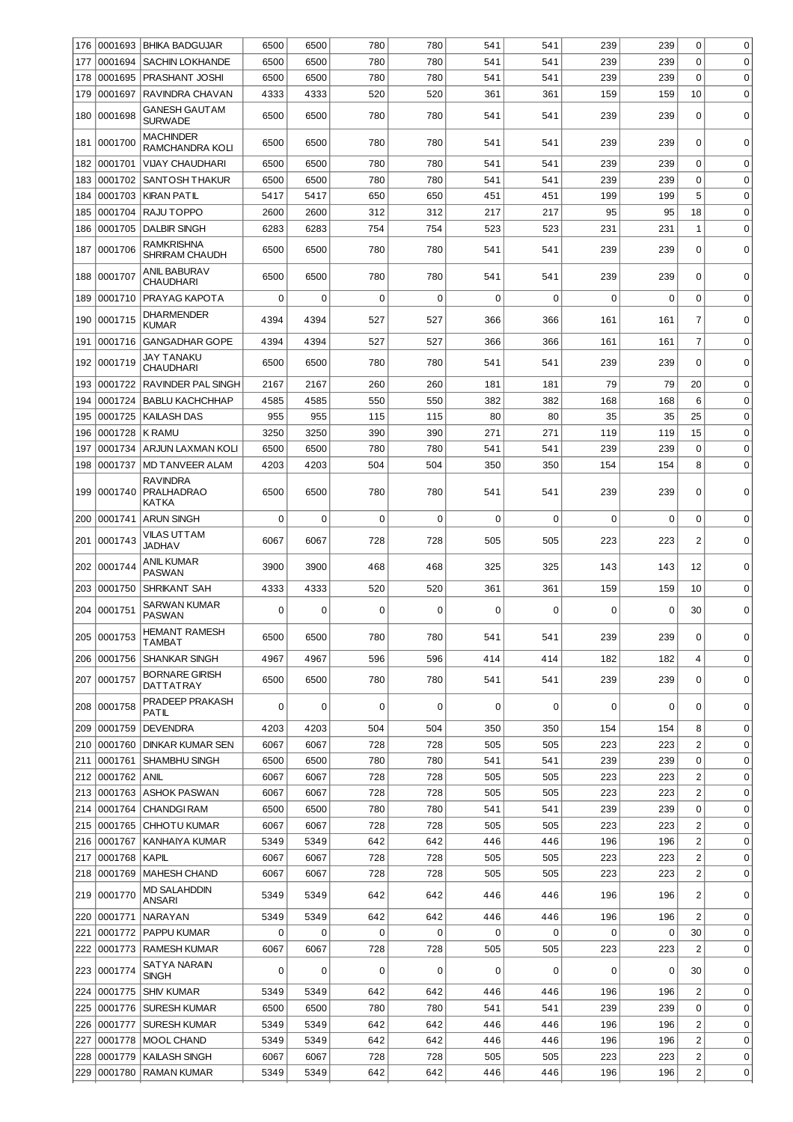| 176        | 0001693            | <b>BHIKA BADGUJAR</b>                         | 6500         | 6500         | 780        | 780         | 541        | 541         | 239         | 239        | 0                       | $\mathbf 0$                |
|------------|--------------------|-----------------------------------------------|--------------|--------------|------------|-------------|------------|-------------|-------------|------------|-------------------------|----------------------------|
| 177        | 0001694            | <b>SACHIN LOKHANDE</b>                        | 6500         | 6500         | 780        | 780         | 541        | 541         | 239         | 239        | 0                       | 0                          |
| 178        | 0001695            | PRASHANT JOSHI                                | 6500         | 6500         | 780        | 780         | 541        | 541         | 239         | 239        | $\mathbf 0$             | $\mathbf 0$                |
| 179        | 0001697            | RAVINDRA CHAVAN                               | 4333         | 4333         | 520        | 520         | 361        | 361         | 159         | 159        | 10                      | $\mathbf 0$                |
| 180        | 0001698            | GANESH GAUT AM<br><b>SURWADE</b>              | 6500         | 6500         | 780        | 780         | 541        | 541         | 239         | 239        | $\Omega$                | $\mathbf 0$                |
| 181        | 0001700            | <b>MACHINDER</b><br>RAMCHANDRA KOLI           | 6500         | 6500         | 780        | 780         | 541        | 541         | 239         | 239        | 0                       | $\Omega$                   |
| 182        | 0001701            | <b>VIJAY CHAUDHARI</b>                        | 6500         | 6500         | 780        | 780         | 541        | 541         | 239         | 239        | $\mathbf 0$             | $\mathbf 0$                |
| 183        | 0001702            | <b>SANTOSH THAKUR</b>                         | 6500         | 6500         | 780        | 780         | 541        | 541         | 239         | 239        | $\Omega$                | $\mathbf 0$                |
| 184        | 0001703            | <b>KIRAN PATIL</b>                            | 5417         | 5417         | 650        | 650         | 451        | 451         | 199         | 199        | 5                       | $\mathbf 0$                |
| 185        | 0001704            | RAJU TOPPO                                    | 2600         | 2600         | 312        | 312         | 217        | 217         | 95          | 95         | 18                      | $\mathbf 0$                |
| 186        | 0001705            | <b>DALBIR SINGH</b>                           | 6283         | 6283         | 754        | 754         | 523        | 523         | 231         | 231        | $\mathbf{1}$            | $\mathbf 0$                |
| 187        | 0001706            | RAMKRISHNA<br>SHRIRAM CHAUDH                  | 6500         | 6500         | 780        | 780         | 541        | 541         | 239         | 239        | 0                       | 0                          |
| 188        | 0001707            | <b>ANIL BABURAV</b><br>CHAUDHARI              | 6500         | 6500         | 780        | 780         | 541        | 541         | 239         | 239        | $\Omega$                | $\mathbf 0$                |
| 189        | 0001710            | <b>PRAYAG KAPOTA</b>                          | 0            | $\mathbf 0$  | 0          | $\mathbf 0$ | 0          | $\mathbf 0$ | 0           | 0          | $\mathbf 0$             | $\mathbf 0$                |
| 190        | 0001715            | DHARMENDER<br><b>KUMAR</b>                    | 4394         | 4394         | 527        | 527         | 366        | 366         | 161         | 161        | $\overline{7}$          | $\mathbf 0$                |
| 191        | 0001716            | <b>GANGADHAR GOPE</b>                         | 4394         | 4394         | 527        | 527         | 366        | 366         | 161         | 161        | $\overline{7}$          | $\mathbf 0$                |
| 192        | 0001719            | JAY TANAKU<br><b>CHAUDHARI</b>                | 6500         | 6500         | 780        | 780         | 541        | 541         | 239         | 239        | $\Omega$                | $\mathbf 0$                |
| 193        | 0001722            | RAVINDER PAL SINGH                            | 2167         | 2167         | 260        | 260         | 181        | 181         | 79          | 79         | 20                      | $\mathbf 0$                |
| 194        | 0001724            | <b>BABLU KACHCHHAP</b>                        | 4585         | 4585         | 550        | 550         | 382        | 382         | 168         | 168        | 6                       | $\mathbf 0$                |
| 195<br>196 | 0001725<br>0001728 | <b>KAILASH DAS</b><br><b>K RAMU</b>           | 955<br>3250  | 955<br>3250  | 115<br>390 | 115<br>390  | 80<br>271  | 80<br>271   | 35<br>119   | 35<br>119  | 25<br>15                | $\mathbf 0$<br>$\mathbf 0$ |
| 197        | 0001734            | <b>ARJUN LAXMAN KOLI</b>                      | 6500         | 6500         | 780        | 780         | 541        | 541         | 239         | 239        | $\mathbf 0$             | $\mathbf 0$                |
| 198        | 0001737            | <b>MD TANVEER ALAM</b>                        | 4203         | 4203         | 504        | 504         | 350        | 350         | 154         | 154        | 8                       | $\mathbf 0$                |
|            | 199 0001740        | <b>RAVINDRA</b><br><b>PRALHADRAO</b><br>KATKA | 6500         | 6500         | 780        | 780         | 541        | 541         | 239         | 239        | 0                       | $\mathbf 0$                |
| 200        | 0001741            | <b>ARUN SINGH</b>                             | 0            | $\mathbf 0$  | $\Omega$   | $\mathbf 0$ | 0          | $\Omega$    | $\mathbf 0$ | $\Omega$   | 0                       | $\mathbf 0$                |
| 201        | 0001743            | VILAS UTTAM<br>JADHAV                         | 6067         | 6067         | 728        | 728         | 505        | 505         | 223         | 223        | $\overline{2}$          | $\mathbf 0$                |
| 202        | 0001744            | ANIL KUMAR<br><b>PASWAN</b>                   | 3900         | 3900         | 468        | 468         | 325        | 325         | 143         | 143        | 12                      | $\mathbf 0$                |
| 203        | 0001750            | SHRIKANT SAH                                  | 4333         | 4333         | 520        | 520         | 361        | 361         | 159         | 159        | 10                      | $\mathbf 0$                |
|            |                    | SARWAN KUMAR                                  |              |              |            |             |            |             |             |            |                         |                            |
| 204        | 0001751            | <b>PASWAN</b><br><b>HEMANT RAMESH</b>         | 0            | 0            | 0          | $\mathbf 0$ | 0          | $\mathbf 0$ | 0           | 0          | 30                      | $\mathbf 0$                |
|            | 205  0001753       | <b>TAMBAT</b>                                 | 6500         | 6500         | 780        | 780         | 541        | 541         | 239         | 239        | 0                       | 01                         |
|            | 206 0001756        | <b>SHANKAR SINGH</b>                          | 4967         | 4967         | 596        | 596         | 414        | 414         | 182         | 182        | $\overline{4}$          | $\mathbf 0$                |
|            | 207 0001757        | <b>BORNARE GIRISH</b><br><b>DATTATRAY</b>     | 6500         | 6500         | 780        | 780         | 541        | 541         | 239         | 239        | 0                       | $\mathbf 0$                |
|            | 208 0001758        | PRADEEP PRAKASH<br>PATIL                      | 0            | 0            | 0          | 0           | 0          | 0           | 0           | 0          | $\Omega$                | $\mathbf 0$                |
| 209        | 0001759            | <b>DEVENDRA</b>                               | 4203         | 4203         | 504        | 504         | 350        | 350         | 154         | 154        | 8                       | $\mathbf 0$                |
| 210        | 0001760            | <b>DINKAR KUMAR SEN</b>                       | 6067         | 6067         | 728        | 728         | 505        | 505         | 223         | 223        | $\overline{c}$          | $\mathbf 0$                |
| 211        | 0001761            | <b>SHAMBHU SINGH</b>                          | 6500         | 6500         | 780        | 780         | 541        | 541         | 239         | 239        | 0                       | $\mathbf 0$                |
| 212        | 0001762            | ANIL                                          | 6067         | 6067         | 728        | 728         | 505        | 505         | 223         | 223        | $\overline{\mathbf{c}}$ | $\mathbf 0$                |
| 213        | 0001763            | <b>ASHOK PASWAN</b>                           | 6067         | 6067         | 728        | 728         | 505        | 505         | 223         | 223        | $\overline{c}$          | $\mathbf 0$                |
| 214<br>215 | 0001764<br>0001765 | <b>CHANDGI RAM</b><br>CHHOTU KUMAR            | 6500<br>6067 | 6500<br>6067 | 780<br>728 | 780<br>728  | 541<br>505 | 541<br>505  | 239<br>223  | 239<br>223 | 0<br>$\overline{c}$     | 0<br>$\mathbf 0$           |
| 216        | 0001767            | KANHAIYA KUMAR                                | 5349         | 5349         | 642        | 642         | 446        | 446         | 196         | 196        | $\overline{c}$          | $\mathbf 0$                |
| 217        | 0001768            | KAPIL                                         | 6067         | 6067         | 728        | 728         | 505        | 505         | 223         | 223        | $\overline{\mathbf{c}}$ | $\mathbf 0$                |
| 218        | 0001769            | MAHESH CHAND                                  | 6067         | 6067         | 728        | 728         | 505        | 505         | 223         | 223        | $\overline{c}$          | $\mathbf 0$                |
| 219        | 0001770            | <b>MD SALAHDDIN</b><br>ANSARI                 | 5349         | 5349         | 642        | 642         | 446        | 446         | 196         | 196        | $\overline{c}$          | 0                          |
| 220        | 0001771            | NARAYAN                                       | 5349         | 5349         | 642        | 642         | 446        | 446         | 196         | 196        | $\overline{2}$          | $\mathbf 0$                |
| 221        | 0001772            | <b>PAPPU KUMAR</b>                            | 0            | 0            | $\Omega$   | $\Omega$    | 0          | 0           | 0           | 0          | 30                      | 0                          |
| 222        | 0001773            | <b>RAMESH KUMAR</b>                           | 6067         | 6067         | 728        | 728         | 505        | 505         | 223         | 223        | 2                       | 0                          |
| 223        | 0001774            | SATYA NARAIN<br>SINGH                         | 0            | 0            | $\Omega$   | 0           | 0          | $\mathbf 0$ | 0           | 0          | 30                      | $\mathbf 0$                |
|            | 224 0001775        | <b>SHIV KUMAR</b>                             | 5349         | 5349         | 642        | 642         | 446        | 446         | 196         | 196        | $\overline{2}$          | $\mathbf 0$                |
| 225        | 0001776            | <b>SURESH KUMAR</b>                           | 6500         | 6500         | 780        | 780         | 541        | 541         | 239         | 239        | $\mathbf 0$             | $\mathbf 0$                |
| 226        | 0001777            | <b>SURESH KUMAR</b>                           | 5349         | 5349         | 642        | 642         | 446        | 446         | 196         | 196        | $\overline{c}$          | $\mathbf 0$                |
| 227        | 0001778            | <b>MOOL CHAND</b>                             | 5349         | 5349         | 642        | 642         | 446        | 446         | 196         | 196        | $\overline{\mathbf{c}}$ | $\mathbf 0$                |
| 228        | 0001779            | KAILASH SINGH                                 | 6067         | 6067         | 728        | 728         | 505        | 505         | 223         | 223        | $\overline{c}$          | 0                          |
| 229        | 0001780            | <b>RAMAN KUMAR</b>                            | 5349         | 5349         | 642        | 642         | 446        | 446         | 196         | 196        | $\overline{c}$          | 0                          |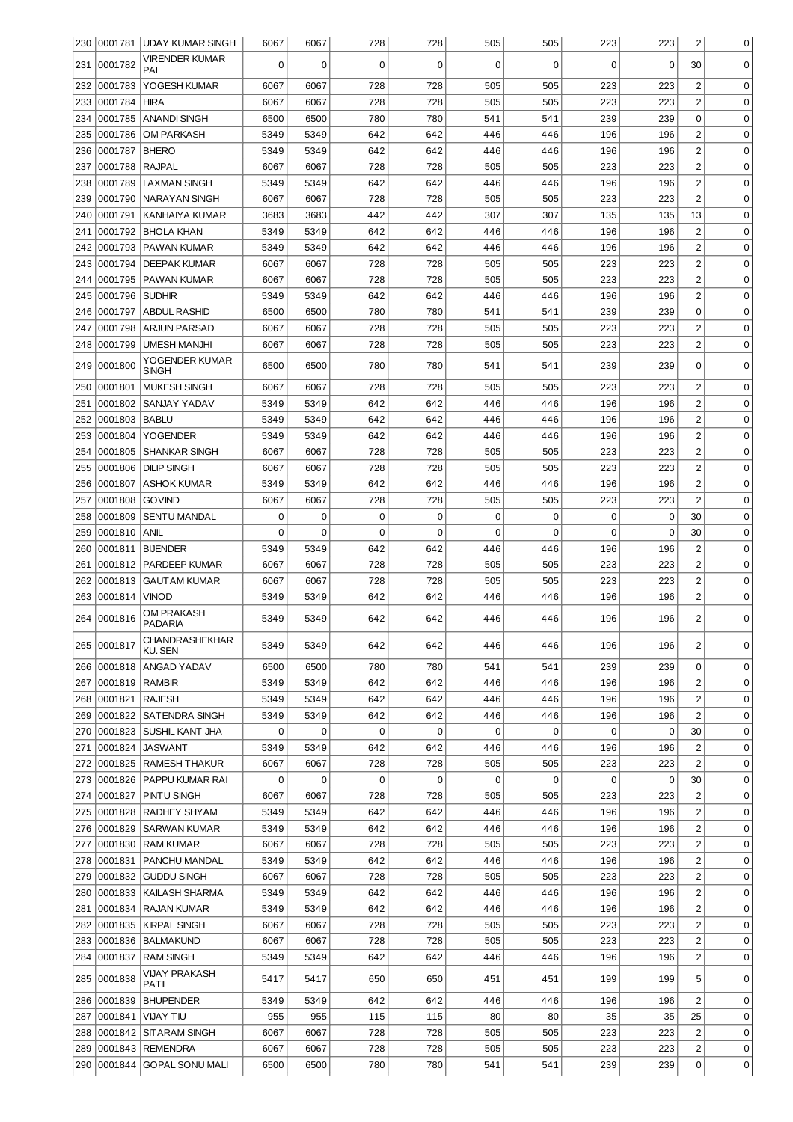|            |                    | 230   0001781   UDAY KUMAR SINGH           | 6067         | 6067         | 728         | 728                | 505        | 505        | 223                | 223        | $\overline{c}$                   | $\overline{0}$             |
|------------|--------------------|--------------------------------------------|--------------|--------------|-------------|--------------------|------------|------------|--------------------|------------|----------------------------------|----------------------------|
| 231        | 0001782            | VIRENDER KUMAR<br>PAL                      | 0            | $\mathbf 0$  | 0           | $\mathbf 0$        | 0          | 0          | 0                  | 0          | 30                               | 0                          |
| 232        | 0001783            | YOGESH KUMAR                               | 6067         | 6067         | 728         | 728                | 505        | 505        | 223                | 223        | 2                                | 0                          |
| 233        | 0001784            | <b>HIRA</b>                                | 6067         | 6067         | 728         | 728                | 505        | 505        | 223                | 223        | $\overline{c}$                   | 0                          |
| 234        | 0001785            | <b>ANANDI SINGH</b>                        | 6500         | 6500         | 780         | 780                | 541        | 541        | 239                | 239        | 0                                | 0                          |
| 235        | 0001786            | <b>OM PARKASH</b>                          | 5349         | 5349         | 642         | 642                | 446        | 446        | 196                | 196        | $\overline{c}$                   | $\mathbf 0$                |
| 236        | 0001787            | <b>BHERO</b>                               | 5349         | 5349         | 642         | 642                | 446        | 446        | 196                | 196        | $\overline{c}$                   | $\mathbf 0$                |
| 237        | 0001788            | <b>RAJPAL</b>                              | 6067         | 6067         | 728         | 728                | 505        | 505        | 223                | 223        | $\overline{c}$                   | $\mathbf 0$                |
| 238        | 0001789            | <b>LAXMAN SINGH</b>                        | 5349         | 5349         | 642         | 642                | 446        | 446        | 196                | 196        | $\overline{c}$                   | $\mathbf 0$                |
| 239        | 0001790            | <b>NARAYAN SINGH</b>                       | 6067         | 6067         | 728         | 728                | 505        | 505        | 223                | 223        | $\overline{2}$                   | 0                          |
| 240        | 0001791            | KANHAIYA KUMAR                             | 3683         | 3683         | 442         | 442                | 307        | 307        | 135                | 135        | 13                               | 0                          |
| 241        | 0001792            | <b>BHOLA KHAN</b>                          | 5349         | 5349         | 642         | 642                | 446        | 446        | 196                | 196        | $\overline{2}$                   | 0                          |
| 242        | 0001793            | PAWAN KUMAR                                | 5349         | 5349         | 642         | 642                | 446        | 446        | 196                | 196        | $\overline{2}$                   | 0                          |
| 243        | 0001794            | <b>DEEPAK KUMAR</b>                        | 6067         | 6067         | 728         | 728                | 505        | 505        | 223                | 223        | $\overline{c}$                   | 0                          |
| 244        | 0001795            | PAWAN KUMAR                                | 6067         | 6067         | 728         | 728                | 505        | 505        | 223                | 223        | $\overline{c}$                   | 0                          |
| 245        | 0001796            | <b>SUDHIR</b>                              | 5349         | 5349         | 642         | 642                | 446        | 446        | 196                | 196        | $\overline{c}$                   | 0                          |
| 246        | 0001797            | <b>ABDUL RASHID</b>                        | 6500         | 6500         | 780         | 780                | 541        | 541        | 239                | 239        | 0                                | $\mathbf 0$                |
| 247        | 0001798            | <b>ARJUN PARSAD</b>                        | 6067         | 6067         | 728         | 728                | 505        | 505        | 223                | 223        | $\overline{2}$                   | $\mathbf 0$                |
| 248        | 0001799            | <b>UMESH MANJHI</b><br>YOGENDER KUMAR      | 6067         | 6067         | 728         | 728                | 505        | 505        | 223                | 223        | $\overline{2}$                   | $\mathbf 0$                |
| 249        | 0001800            | <b>SINGH</b>                               | 6500         | 6500         | 780         | 780                | 541        | 541        | 239                | 239        | 0                                | $\Omega$                   |
| 250        | 0001801            | <b>MUKESH SINGH</b>                        | 6067         | 6067         | 728         | 728                | 505        | 505        | 223                | 223        | $\overline{2}$                   | 0                          |
| 251        | 0001802            | SANJAY YADAV                               | 5349         | 5349         | 642         | 642                | 446        | 446        | 196                | 196        | $\overline{2}$                   | 0                          |
| 252        | 0001803            | <b>BABLU</b>                               | 5349         | 5349         | 642         | 642                | 446        | 446        | 196                | 196        | $\overline{c}$                   | $\mathbf 0$                |
| 253        | 0001804            | <b>YOGENDER</b>                            | 5349         | 5349         | 642         | 642                | 446        | 446        | 196                | 196        | $\overline{c}$                   | $\mathbf 0$                |
| 254<br>255 | 0001805<br>0001806 | <b>SHANKAR SINGH</b><br><b>DILIP SINGH</b> | 6067<br>6067 | 6067<br>6067 | 728<br>728  | 728<br>728         | 505<br>505 | 505<br>505 | 223<br>223         | 223<br>223 | $\overline{2}$<br>$\overline{2}$ | $\mathbf 0$<br>$\mathbf 0$ |
| 256        | 0001807            | <b>ASHOK KUMAR</b>                         | 5349         | 5349         | 642         | 642                | 446        | 446        | 196                | 196        | $\overline{2}$                   | $\mathbf 0$                |
| 257        | 0001808            | <b>GOVIND</b>                              | 6067         | 6067         | 728         | 728                | 505        | 505        | 223                | 223        | $\overline{2}$                   | $\mathbf 0$                |
| 258        | 0001809            | <b>SENTU MANDAL</b>                        | 0            | 0            | $\mathbf 0$ | $\mathbf 0$        | 0          | 0          | $\mathbf 0$        | 0          | 30                               | $\mathbf 0$                |
| 259        | 0001810            | <b>ANIL</b>                                | 0            | $\mathbf 0$  | $\mathbf 0$ | $\mathbf 0$        | 0          | 0          | $\mathbf 0$        | 0          | 30                               | $\mathbf 0$                |
| 260        | 0001811            | <b>BIJENDER</b>                            | 5349         | 5349         | 642         | 642                | 446        | 446        | 196                | 196        | $\overline{2}$                   | $\mathbf 0$                |
| 261        | 0001812            | PARDEEP KUMAR                              | 6067         | 6067         | 728         | 728                | 505        | 505        | 223                | 223        | $\overline{c}$                   | $\mathbf 0$                |
| 262        | 0001813            | <b>GAUTAM KUMAR</b>                        | 6067         | 6067         | 728         | 728                | 505        | 505        | 223                | 223        | $\overline{c}$                   | 0                          |
| 263        | 0001814            | <b>VINOD</b>                               | 5349         | 5349         | 642         | 642                | 446        | 446        | 196                | 196        | $\overline{c}$                   | 0                          |
|            | 264 0001816        | OM PRAKASH<br><b>PADARIA</b>               | 5349         | 5349         | 642         | 642                | 446        | 446        | 196                | 196        | $\overline{2}$                   | $\mathbf 0$                |
|            | 265 0001817        | <b>CHANDRASHEKHAR</b><br>KU. SEN           | 5349         | 5349         | 642         | 642                | 446        | 446        | 196                | 196        | 2                                | 0                          |
| 266        |                    | 0001818  ANGAD YADAV                       | 6500         | 6500         | 780         | 780                | 541        | 541        | 239                | 239        | 0                                | 0                          |
|            | 267   0001819      | <b>RAMBIR</b>                              | 5349         | 5349         | 642         | 642                | 446        | 446        | 196                | 196        | $\overline{2}$                   | 0                          |
|            | 268 0001821        | <b>RAJESH</b>                              | 5349         | 5349         | 642         | 642                | 446        | 446        | 196                | 196        | $\overline{c}$                   | 0                          |
|            | 269  0001822       | <b>SATENDRA SINGH</b>                      | 5349         | 5349         | 642         | 642                | 446        | 446        | 196                | 196        | $\overline{c}$                   | $\mathbf 0$                |
| 270        | 0001823            | SUSHIL KANT JHA                            | 0            | 0            | 0           | $\mathbf 0$        | 0          | 0          | 0                  | 0          | 30                               | 0                          |
| 271        | 0001824            | <b>JASWANT</b>                             | 5349         | 5349         | 642         | 642                | 446        | 446        | 196                | 196        | $\overline{2}$                   | 0                          |
| 272        | 0001825            | <b>RAMESH THAKUR</b>                       | 6067         | 6067         | 728         | 728                | 505        | 505        | 223                | 223        | $\overline{2}$                   | $\mathbf 0$                |
| 273<br>274 | 0001826<br>0001827 | <b>PAPPU KUMAR RAI</b><br>PINTU SINGH      | 0<br>6067    | 0<br>6067    | 0<br>728    | $\mathbf 0$<br>728 | 0<br>505   | 0<br>505   | $\mathbf 0$<br>223 | 0<br>223   | 30<br>$\overline{2}$             | $\mathbf 0$<br>$\mathbf 0$ |
| 275        | 0001828            | RADHEY SHYAM                               | 5349         | 5349         | 642         | 642                | 446        | 446        | 196                | 196        | $\overline{2}$                   | $\mathbf 0$                |
| 276        | 0001829            | <b>SARWAN KUMAR</b>                        | 5349         | 5349         | 642         | 642                | 446        | 446        | 196                | 196        | $\overline{c}$                   | $\mathbf 0$                |
| 277        | 0001830            | <b>RAM KUMAR</b>                           | 6067         | 6067         | 728         | 728                | 505        | 505        | 223                | 223        | $\overline{c}$                   | $\mathbf 0$                |
| 278        | 0001831            | PANCHU MANDAL                              | 5349         | 5349         | 642         | 642                | 446        | 446        | 196                | 196        | $\overline{c}$                   | 0                          |
| 279        | 0001832            | <b>GUDDU SINGH</b>                         | 6067         | 6067         | 728         | 728                | 505        | 505        | 223                | 223        | $\overline{\mathbf{c}}$          | 0                          |
| 280        | 0001833            | KAILASH SHARMA                             | 5349         | 5349         | 642         | 642                | 446        | 446        | 196                | 196        | $\overline{\mathbf{c}}$          | 0                          |
| 281        | 0001834            | RAJAN KUMAR                                | 5349         | 5349         | 642         | 642                | 446        | 446        | 196                | 196        | 2                                | 0                          |
| 282        | 0001835            | <b>KIRPAL SINGH</b>                        | 6067         | 6067         | 728         | 728                | 505        | 505        | 223                | 223        | $\overline{\mathbf{c}}$          | 0                          |
| 283        | 0001836            | <b>BALMAKUND</b>                           | 6067         | 6067         | 728         | 728                | 505        | 505        | 223                | 223        | $\overline{\mathbf{c}}$          | 0                          |
| 284        | 0001837            | <b>RAM SINGH</b>                           | 5349         | 5349         | 642         | 642                | 446        | 446        | 196                | 196        | 2                                | 0                          |
|            | 285  0001838       | <b>VIJAY PRAKASH</b><br>PATIL              | 5417         | 5417         | 650         | 650                | 451        | 451        | 199                | 199        | 5                                | $\mathbf 0$                |
| 286        | 0001839            | <b>BHUPENDER</b>                           | 5349         | 5349         | 642         | 642                | 446        | 446        | 196                | 196        | 2                                | 0                          |
| 287        | 0001841            | VIJAY TIU                                  | 955          | 955          | 115         | 115                | 80         | 80         | 35                 | 35         | 25                               | 0                          |
| 288        | 0001842            | SIT ARAM SINGH                             | 6067         | 6067         | 728         | 728                | 505        | 505        | 223                | 223        | 2                                | 0                          |
| 289        | 0001843            | REMENDRA                                   | 6067         | 6067         | 728         | 728                | 505        | 505        | 223                | 223        | 2                                | 0                          |
| 290        | 0001844            | <b>GOPAL SONU MALI</b>                     | 6500         | 6500         | 780         | 780                | 541        | 541        | 239                | 239        | 0                                | 0                          |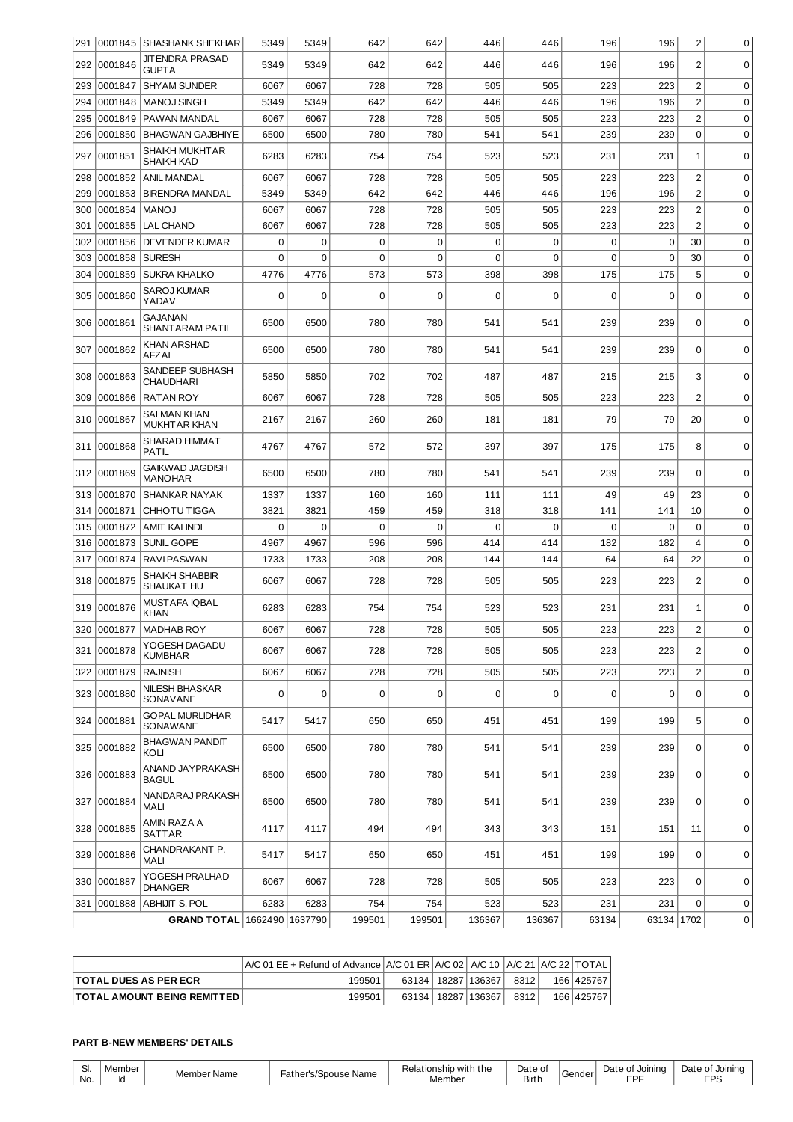|     |             | 291   0001845   SHASHANK SHEKHAR           | 5349        | 5349        | 642         | 642         | 446         | 446              | 196   | 196         | $\overline{c}$ | 0           |
|-----|-------------|--------------------------------------------|-------------|-------------|-------------|-------------|-------------|------------------|-------|-------------|----------------|-------------|
| 292 | 0001846     | <b>JIT ENDRA PRASAD</b><br><b>GUPTA</b>    | 5349        | 5349        | 642         | 642         | 446         | 446              | 196   | 196         | $\overline{c}$ | $\mathbf 0$ |
| 293 | 0001847     | <b>SHYAM SUNDER</b>                        | 6067        | 6067        | 728         | 728         | 505         | 505              | 223   | 223         | $\overline{c}$ | 0           |
| 294 | 0001848     | <b>MANOJ SINGH</b>                         | 5349        | 5349        | 642         | 642         | 446         | 446              | 196   | 196         | $\overline{c}$ | $\mathbf 0$ |
| 295 | 0001849     | PAWAN MANDAL                               | 6067        | 6067        | 728         | 728         | 505         | 505              | 223   | 223         | $\overline{c}$ | $\mathbf 0$ |
| 296 | 0001850     | <b>BHAGWAN GAJBHIYE</b>                    | 6500        | 6500        | 780         | 780         | 541         | 541              | 239   | 239         | $\pmb{0}$      | $\mathbf 0$ |
| 297 | 0001851     | <b>SHAIKH MUKHTAR</b><br><b>SHAIKH KAD</b> | 6283        | 6283        | 754         | 754         | 523         | 523              | 231   | 231         | 1              | $\mathbf 0$ |
| 298 | 0001852     | <b>ANIL MANDAL</b>                         | 6067        | 6067        | 728         | 728         | 505         | 505              | 223   | 223         | $\overline{c}$ | 0           |
| 299 | 0001853     | <b>BIRENDRA MANDAL</b>                     | 5349        | 5349        | 642         | 642         | 446         | 446              | 196   | 196         | $\overline{c}$ | $\mathbf 0$ |
| 300 | 0001854     | <b>MANOJ</b>                               | 6067        | 6067        | 728         | 728         | 505         | 505              | 223   | 223         | $\overline{c}$ | $\mathbf 0$ |
| 301 | 0001855     | <b>LAL CHAND</b>                           | 6067        | 6067        | 728         | 728         | 505         | 505              | 223   | 223         | $\overline{c}$ | $\mathbf 0$ |
| 302 | 0001856     | <b>DEVENDER KUMAR</b>                      | 0           | $\mathbf 0$ | $\mathbf 0$ | $\mathbf 0$ | 0           | $\mathbf 0$      | 0     | $\mathbf 0$ | 30             | $\mathbf 0$ |
| 303 | 0001858     | <b>SURESH</b>                              | $\mathbf 0$ | $\mathbf 0$ | $\mathbf 0$ | $\mathbf 0$ | $\mathbf 0$ | $\mathbf 0$      | 0     | $\mathbf 0$ | 30             | $\mathbf 0$ |
| 304 | 0001859     | <b>SUKRA KHALKO</b>                        | 4776        | 4776        | 573         | 573         | 398         | 398              | 175   | 175         | 5              | $\mathbf 0$ |
|     |             |                                            |             |             |             |             |             |                  |       |             |                |             |
| 305 | 0001860     | <b>SAROJ KUMAR</b><br>YADAV                | 0           | 0           | 0           | 0           | 0           | 0                | 0     | 0           | 0              | 0           |
| 306 | 0001861     | GAJANAN<br>SHANTARAM PATIL                 | 6500        | 6500        | 780         | 780         | 541         | 541              | 239   | 239         | $\mathbf 0$    | $\mathbf 0$ |
| 307 | 0001862     | <b>KHAN ARSHAD</b><br>AFZAL                | 6500        | 6500        | 780         | 780         | 541         | 541              | 239   | 239         | 0              | $\Omega$    |
| 308 | 0001863     | SANDEEP SUBHASH<br><b>CHAUDHARI</b>        | 5850        | 5850        | 702         | 702         | 487         | 487              | 215   | 215         | 3              | $\mathbf 0$ |
| 309 | 0001866     | <b>RATAN ROY</b>                           | 6067        | 6067        | 728         | 728         | 505         | 505              | 223   | 223         | $\overline{c}$ | $\mathbf 0$ |
| 310 | 0001867     | <b>SALMAN KHAN</b><br><b>MUKHTAR KHAN</b>  | 2167        | 2167        | 260         | 260         | 181         | 181              | 79    | 79          | 20             | $\mathbf 0$ |
| 311 | 0001868     | <b>SHARAD HIMMAT</b><br>PATIL              | 4767        | 4767        | 572         | 572         | 397         | 397              | 175   | 175         | 8              | $\mathbf 0$ |
| 312 | 0001869     | <b>GAIKWAD JAGDISH</b><br><b>MANOHAR</b>   | 6500        | 6500        | 780         | 780         | 541         | 541              | 239   | 239         | 0              | 0           |
| 313 | 0001870     | SHANKAR NAYAK                              | 1337        | 1337        | 160         | 160         | 111         | 111              | 49    | 49          | 23             | 0           |
| 314 | 0001871     | CHHOTU TIGGA                               | 3821        | 3821        | 459         | 459         | 318         | 318              | 141   | 141         | 10             | 0           |
| 315 | 0001872     | <b>AMIT KALINDI</b>                        | $\Omega$    | 0           | 0           | 0           | $\Omega$    | 0                | 0     | 0           | 0              | 0           |
| 316 | 0001873     | SUNIL GOPE                                 | 4967        | 4967        | 596         | 596         | 414         | 414              | 182   | 182         | 4              | 0           |
| 317 | 0001874     | <b>RAVIPASWAN</b>                          | 1733        | 1733        | 208         | 208         | 144         | 144              | 64    | 64          | 22             | $\mathbf 0$ |
| 318 | 0001875     | <b>SHAIKH SHABBIR</b><br>SHAUKAT HU        | 6067        | 6067        | 728         | 728         | 505         | 505              | 223   | 223         | $\overline{c}$ | $\mathbf 0$ |
| 319 | 0001876     | MUSTAFA IQBAL<br><b>KHAN</b>               | 6283        | 6283        | 754         | 754         | 523         | 523              | 231   | 231         | 1              | 0           |
|     | 320 0001877 | <b>MADHAB ROY</b>                          | 6067        | 6067        | 728         | 728         | 505         | 505              | 223   | 223         | $\overline{c}$ | $\Omega$    |
|     | 321 0001878 | YOGESH DAGADU<br><b>KUMBHAR</b>            | 6067        | 6067        | 728         | 728         | 505         | 505              | 223   | 223         | $\overline{c}$ | $\mathbf 0$ |
| 322 | 0001879     | <b>RAJNISH</b>                             | 6067        | 6067        | 728         | 728         | 505         | 505              | 223   | 223         | $\overline{c}$ | $\mathbf 0$ |
|     | 323 0001880 | <b>NILESH BHASKAR</b><br>SONAVANE          | $\mathbf 0$ | 0           | 0           | 0           | 0           | $\boldsymbol{0}$ | 0     | 0           | 0              | $\mathbf 0$ |
|     | 324 0001881 | <b>GOPAL MURLIDHAR</b><br>SONAWANE         | 5417        | 5417        | 650         | 650         | 451         | 451              | 199   | 199         | 5              | $\mathbf 0$ |
|     | 325 0001882 | <b>BHAGWAN PANDIT</b><br>KOLI              | 6500        | 6500        | 780         | 780         | 541         | 541              | 239   | 239         | 0              | $\mathbf 0$ |
|     | 326 0001883 | ANAND JAYPRAKASH<br><b>BAGUL</b>           | 6500        | 6500        | 780         | 780         | 541         | 541              | 239   | 239         | 0              | 0           |
|     | 327 0001884 | NANDARAJ PRAKASH<br><b>MALI</b>            | 6500        | 6500        | 780         | 780         | 541         | 541              | 239   | 239         | 0              | $\mathbf 0$ |
|     | 328 0001885 | AMIN RAZA A<br>SATTAR                      | 4117        | 4117        | 494         | 494         | 343         | 343              | 151   | 151         | 11             | $\mathbf 0$ |
|     | 329 0001886 | CHANDRAKANT P.<br>MALI                     | 5417        | 5417        | 650         | 650         | 451         | 451              | 199   | 199         | $\mathbf 0$    | 0           |
|     | 330 0001887 | YOGESH PRALHAD<br><b>DHANGER</b>           | 6067        | 6067        | 728         | 728         | 505         | 505              | 223   | 223         | 0              | $\mathbf 0$ |
|     | 331 0001888 | ABHIJIT S. POL                             | 6283        | 6283        | 754         | 754         | 523         | 523              | 231   | 231         | 0              | $\mathbf 0$ |
|     |             | GRAND TOTAL 1662490 1637790                |             |             | 199501      | 199501      | 136367      | 136367           | 63134 | 63134 1702  |                | 0           |
|     |             |                                            |             |             |             |             |             |                  |       |             |                |             |

|                                     | $ A/C 01 EE +$ Refund of Advance $ A/C 01 ER  A/C 02$   A/C 10   A/C 21   A/C 22   TOTAL |  |                        |      |            |
|-------------------------------------|------------------------------------------------------------------------------------------|--|------------------------|------|------------|
| <b>ITOTAL DUES AS PER ECR</b>       | 199501                                                                                   |  | 63134   18287   136367 | 8312 | 166 425767 |
| <b>ITOTAL AMOUNT BEING REMITTED</b> | 199501                                                                                   |  | 63134   18287   136367 | 8312 | 166 425767 |

## **PART B-NEW MEMBERS' DETAILS**